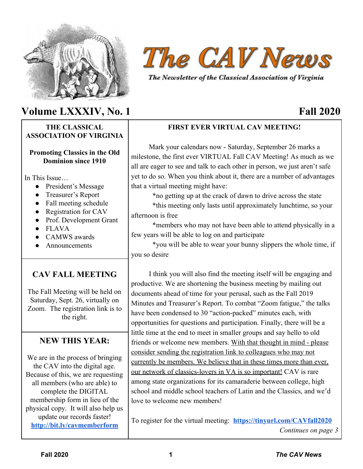

# **Volume LXXXIV, No. 1 Fall 2020**

#### **THE CLASSICAL ASSOCIATION OF VIRGINIA**

#### **Promoting Classics in the Old Dominion since 1910**

In This Issue

- President's Message
- Treasurer's Report
- Fall meeting schedule
- Registration for CAV
- Prof. Development Grant
- FLAVA
- CAMWS awards
- Announcements

### **CAV FALL MEETING**

The Fall Meeting will be held on Saturday, Sept. 26, virtually on Zoom. The registration link is to the right.

#### **NEW THIS YEAR:**

We are in the process of bringing the CAV into the digital age. Because of this, we are requesting all members (who are able) to complete the DIGITAL membership form in lieu of the physical copy. It will also help us update our records faster! **<http://bit.ly/cavmemberform>**



The Newsletter of the Classical Association of Virginia

#### **FIRST EVER VIRTUAL CAV MEETING!**

 Mark your calendars now - Saturday, September 26 marks a milestone, the first ever VIRTUAL Fall CAV Meeting! As much as we all are eager to see and talk to each other in person, we just aren't safe yet to do so. When you think about it, there are a number of advantages that a virtual meeting might have:

\*no getting up at the crack of dawn to drive across the state

\*this meeting only lasts until approximately lunchtime, so your afternoon is free

\*members who may not have been able to attend physically in a few years will be able to log on and participate

\*you will be able to wear your bunny slippers the whole time, if you so desire

 I think you will also find the meeting itself will be engaging and productive. We are shortening the business meeting by mailing out documents ahead of time for your perusal, such as the Fall 2019 Minutes and Treasurer's Report. To combat "Zoom fatigue," the talks have been condensed to 30 "action-packed" minutes each, with opportunities for questions and participation. Finally, there will be a little time at the end to meet in smaller groups and say hello to old friends or welcome new members. With that thought in mind - please consider sending the registration link to colleagues who may not currently be members. We believe that in these times more than ever, our network of classics-lovers in VA is so important! CAV is rare among state organizations for its camaraderie between college, high school and middle school teachers of Latin and the Classics, and we'd love to welcome new members!

To register for the virtual meeting: **<https://tinyurl.com/CAVfall2020>** *Continues on page 3*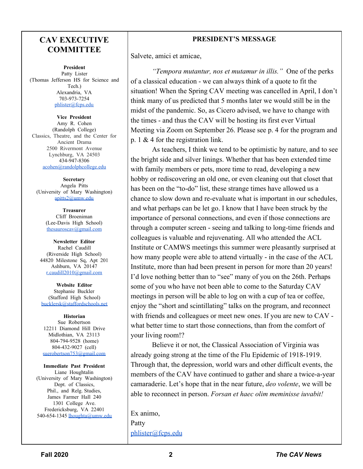#### **CAV EXECUTIVE COMMITTEE**

**President** Patty Lister (Thomas Jefferson HS for Science and Tech.) Alexandria, VA 703-973-7254 [phlister@fcps.edu](mailto:phlister@fcps.edu)

**Vice President** Amy R. Cohen (Randolph College) Classics, Theatre, and the Center for Ancient Drama 2500 Rivermont Avenue Lynchburg, VA 24503 434-947-8306 [acohen@randolphcollege.edu](mailto:acohen@randolphcollege.edu)

**Secretary** Angela Pitts (University of Mary Washington) [apitts2@umw.edu](mailto:apitts2@umw.edu)

> **Treasurer** Cliff Broeniman (Lee-Davis High School) [thesauroscav@gmail.com](mailto:thesauroscav@gmail.com)

**Newsletter Editor** Rachel Caudill (Riverside High School) 44820 Milestone Sq, Apt 201 Ashburn, VA 20147 [r.caudill2010@gmail.com](mailto:r.caudill2010@gmail.com)

**Website Editor** Stephanie Buckler (Stafford High School) [bucklersk@staffordschools.net](mailto:bucklersk@staffordschools.net)

**Historian** Sue Robertson 12211 Diamond Hill Drive Midlothian, VA 23113 804-794-9528 (home) 804-432-9027 (cell) [suerobertson753@gmail.com](mailto:suerobertson753@gmail.com)

**Immediate Past President** Liane Houghtalin (University of Mary Washington) Dept. of Classics, Phil., and Relg. Studies, James Farmer Hall 240 1301 College Ave. Fredericksburg, VA 22401 540-654-1345 [lhoughta@umw.edu](mailto:lhoughta@umw.edu)

#### **PRESIDENT'S MESSAGE**

Salvete, amici et amicae,

*"Tempora mutantur, nos et mutamur in illis."* One of the perks of a classical education - we can always think of a quote to fit the situation! When the Spring CAV meeting was cancelled in April, I don't think many of us predicted that 5 months later we would still be in the midst of the pandemic. So, as Cicero advised, we have to change with the times - and thus the CAV will be hosting its first ever Virtual Meeting via Zoom on September 26. Please see p. 4 for the program and p. 1 & 4 for the registration link.

As teachers, I think we tend to be optimistic by nature, and to see the bright side and silver linings. Whether that has been extended time with family members or pets, more time to read, developing a new hobby or rediscovering an old one, or even cleaning out that closet that has been on the "to-do" list, these strange times have allowed us a chance to slow down and re-evaluate what is important in our schedules, and what perhaps can be let go. I know that I have been struck by the importance of personal connections, and even if those connections are through a computer screen - seeing and talking to long-time friends and colleagues is valuable and rejuvenating. All who attended the ACL Institute or CAMWS meetings this summer were pleasantly surprised at how many people were able to attend virtually - in the case of the ACL Institute, more than had been present in person for more than 20 years! I'd love nothing better than to "see" many of you on the 26th. Perhaps some of you who have not been able to come to the Saturday CAV meetings in person will be able to log on with a cup of tea or coffee, enjoy the "short and scintillating" talks on the program, and reconnect with friends and colleagues or meet new ones. If you are new to CAV what better time to start those connections, than from the comfort of your living room!?

Believe it or not, the Classical Association of Virginia was already going strong at the time of the Flu Epidemic of 1918-1919. Through that, the depression, world wars and other difficult events, the members of the CAV have continued to gather and share a twice-a-year camaraderie. Let's hope that in the near future, *deo volente*, we will be able to reconnect in person. *Forsan et haec olim meminisse iuvabit!*

Ex animo, Patty [phlister@fcps.edu](mailto:phlister@fcps.edu)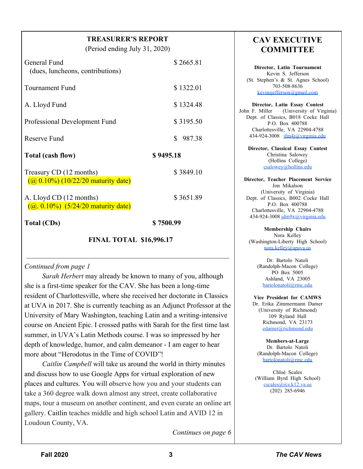#### **TREASURER'S REPORT**

(Period ending July 31, 2020)

| General Fund<br>(dues, luncheons, contributions)                 | \$2665.81    |
|------------------------------------------------------------------|--------------|
| Tournament Fund                                                  | \$1322.01    |
| A. Lloyd Fund                                                    | \$1324.48    |
| Professional Development Fund                                    | \$3195.50    |
| Reserve Fund                                                     | \$<br>987.38 |
|                                                                  |              |
| Total (cash flow)                                                | \$9495.18    |
| Treasury CD (12 months)<br>$(a) 0.10\%$ (10/22/20 maturity date) | \$3849.10    |
| A. Lloyd CD (12 months)<br>$(a, 0.10\%)$ (5/24/20 maturity date) | \$3651.89    |

#### **FINAL TOTAL \$16,996.17**

#### *Continued from page 1*

 *Sarah Herbert* may already be known to many of you, although she is a first-time speaker for the CAV. She has been a long-time resident of Charlottesville, where she received her doctorate in Classics at UVA in 2017. She is currently teaching as an Adjunct Professor at the University of Mary Washington, teaching Latin and a writing-intensive course on Ancient Epic. I crossed paths with Sarah for the first time last summer, in UVA's Latin Methods course. I was so impressed by her depth of knowledge, humor, and calm demeanor - I am eager to hear more about "Herodotus in the Time of COVID"!

 *Caitlin Campbell* will take us around the world in thirty minutes and discuss how to use Google Apps for virtual exploration of new places and cultures. You will observe how you and your students can take a 360 degree walk down almost any street, create collaborative maps, tour a museum on another continent, and even curate an online art gallery. Caitlin teaches middle and high school Latin and AVID 12 in Loudoun County, VA.

*Continues on page 6*

#### **CAV EXECUTIVE COMMITTEE**

**Director, Latin Tournament** Kevin S. Jefferson (St. Stephen's & St. Agnes School) 703-508-8636 [kevinsjefferson@gmail.com](mailto:kevinsjefferson@gmail.com)

**Director, Latin Essay Contest** John F. Miller (University of Virginia) Dept. of Classics, B018 Cocke Hall P.O. Box 400788 Charlottesville, VA 22904-4788 434-924-3008 [jfm4j@virginia.edu](mailto:jfm4j@virginia.edu)

**Director, Classical Essay Contest** Christina Salowey (Hollins College) [csalowey@hollins.edu](mailto:csalowey@hollins.edu)

**Director, Teacher Placement Service** Jon Mikalson (University of Virginia) Dept. of Classics, B002 Cocke Hall P.O. Box 400788 Charlottesville, VA 22904-4788 434-924-3008 [jdm9x@virginia.edu](mailto:jdm9x@virginia.edu)

**Membership Chairs** Nora Kelley (Washington-Liberty High School) [nora.kelley@apsva.us](mailto:nora.kelley@apsva.us)

> Dr. Bartolo Natoli (Randolph-Macon College) PO Box 5005 Ashland, VA 23005 [bartolonatoli@rmc.edu](mailto:bartolonatoli@rmc.edu)

**Vice President for CAMWS** Dr. Erika Zimmermann Damer (University of Richmond) 109 Ryland Hall Richmond, VA 23173 [edamer@richmond.edu](mailto:edamer@richmond.edu)

**Members-at-Large** Dr. Bartolo Natoli (Randolph-Macon College) [bartolonatoli@rmc.edu](mailto:bartolonatoli@rmc.edu)

Chloé Scales (William Byrd High School) [cscales@rcs.k12.va.us](mailto:cscales@rcs.k12.va.us) (202) 285-6946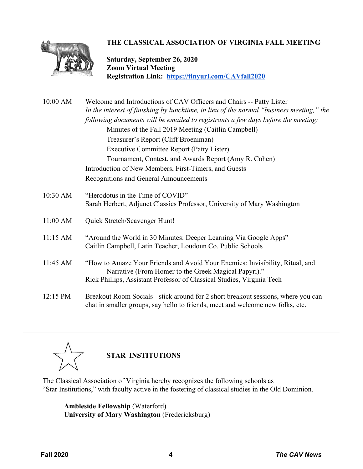

#### **THE CLASSICAL ASSOCIATION OF VIRGINIA FALL MEETING**

**Saturday, September 26, 2020 Zoom Virtual Meeting Registration Link: <https://tinyurl.com/CAVfall2020>**

| 10:00 AM | Welcome and Introductions of CAV Officers and Chairs -- Patty Lister                                                                                                          |                                                                          |  |
|----------|-------------------------------------------------------------------------------------------------------------------------------------------------------------------------------|--------------------------------------------------------------------------|--|
|          | In the interest of finishing by lunchtime, in lieu of the normal "business meeting," the<br>following documents will be emailed to registrants a few days before the meeting: |                                                                          |  |
|          |                                                                                                                                                                               |                                                                          |  |
|          | Treasurer's Report (Cliff Broeniman)                                                                                                                                          |                                                                          |  |
|          | <b>Executive Committee Report (Patty Lister)</b><br>Tournament, Contest, and Awards Report (Amy R. Cohen)                                                                     |                                                                          |  |
|          |                                                                                                                                                                               |                                                                          |  |
|          | Recognitions and General Announcements                                                                                                                                        |                                                                          |  |
|          | 10:30 AM                                                                                                                                                                      | "Herodotus in the Time of COVID"                                         |  |
|          |                                                                                                                                                                               | Sarah Herbert, Adjunct Classics Professor, University of Mary Washington |  |
| 11:00 AM | Quick Stretch/Scavenger Hunt!                                                                                                                                                 |                                                                          |  |
| 11:15 AM | "Around the World in 30 Minutes: Deeper Learning Via Google Apps"                                                                                                             |                                                                          |  |
|          | Caitlin Campbell, Latin Teacher, Loudoun Co. Public Schools                                                                                                                   |                                                                          |  |
| 11:45 AM | "How to Amaze Your Friends and Avoid Your Enemies: Invisibility, Ritual, and                                                                                                  |                                                                          |  |
|          | Narrative (From Homer to the Greek Magical Papyri)."                                                                                                                          |                                                                          |  |
|          | Rick Phillips, Assistant Professor of Classical Studies, Virginia Tech                                                                                                        |                                                                          |  |
| 12:15 PM | Breakout Room Socials - stick around for 2 short breakout sessions, where you can                                                                                             |                                                                          |  |
|          | chat in smaller groups, say hello to friends, meet and welcome new folks, etc.                                                                                                |                                                                          |  |



**STAR INSTITUTIONS**

The Classical Association of Virginia hereby recognizes the following schools as "Star Institutions," with faculty active in the fostering of classical studies in the Old Dominion.

**Ambleside Fellowship** (Waterford) **University of Mary Washington** (Fredericksburg)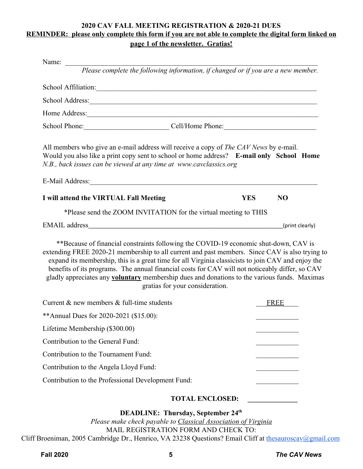#### **2020 CAV FALL MEETING REGISTRATION & 2020-21 DUES REMINDER: please only complete this form if you are not able to complete the digital form linked on page 1 of the newsletter. Gratias!**

| Name: $\frac{1}{\sqrt{1-\frac{1}{2}}\sqrt{1-\frac{1}{2}}\left(\frac{1}{2}-\frac{1}{2}\right)}$                                                                                                                                                                                                                                                                                                                                                                                                                                            |                              |  |
|-------------------------------------------------------------------------------------------------------------------------------------------------------------------------------------------------------------------------------------------------------------------------------------------------------------------------------------------------------------------------------------------------------------------------------------------------------------------------------------------------------------------------------------------|------------------------------|--|
| Please complete the following information, if changed or if you are a new member.                                                                                                                                                                                                                                                                                                                                                                                                                                                         |                              |  |
| School Affiliation: Note that the contract of the contract of the contract of the contract of the contract of the contract of the contract of the contract of the contract of the contract of the contract of the contract of                                                                                                                                                                                                                                                                                                             |                              |  |
| School Address: Note and the set of the set of the set of the set of the set of the set of the set of the set of the set of the set of the set of the set of the set of the set of the set of the set of the set of the set of                                                                                                                                                                                                                                                                                                            |                              |  |
|                                                                                                                                                                                                                                                                                                                                                                                                                                                                                                                                           |                              |  |
| School Phone: Cell/Home Phone: Cell/Home Phone:                                                                                                                                                                                                                                                                                                                                                                                                                                                                                           |                              |  |
| All members who give an e-mail address will receive a copy of <i>The CAV News</i> by e-mail.<br>Would you also like a print copy sent to school or home address? E-mail only School Home<br>N.B., back issues can be viewed at any time at www.cavclassics.org                                                                                                                                                                                                                                                                            |                              |  |
| E-Mail Address:                                                                                                                                                                                                                                                                                                                                                                                                                                                                                                                           |                              |  |
| I will attend the VIRTUAL Fall Meeting                                                                                                                                                                                                                                                                                                                                                                                                                                                                                                    | N <sub>O</sub><br><b>YES</b> |  |
| *Please send the ZOOM INVITATION for the virtual meeting to THIS                                                                                                                                                                                                                                                                                                                                                                                                                                                                          |                              |  |
| <b>EMAIL</b> address<br><u> 1989 - Johann Harry Harry Harry Harry Harry Harry Harry Harry Harry Harry Harry Harry Harry Harry Harry Harry</u>                                                                                                                                                                                                                                                                                                                                                                                             | (print clearly)              |  |
| **Because of financial constraints following the COVID-19 economic shut-down, CAV is<br>extending FREE 2020-21 membership to all current and past members. Since CAV is also trying to<br>expand its membership, this is a great time for all Virginia classicists to join CAV and enjoy the<br>benefits of its programs. The annual financial costs for CAV will not noticeably differ, so CAV<br>gladly appreciates any <b>voluntary</b> membership dues and donations to the various funds. Maximas<br>gratias for your consideration. |                              |  |
| Current $\&$ new members $\&$ full-time students                                                                                                                                                                                                                                                                                                                                                                                                                                                                                          | FREE                         |  |
| ** Annual Dues for 2020-2021 (\$15.00):                                                                                                                                                                                                                                                                                                                                                                                                                                                                                                   |                              |  |
| Lifetime Membership (\$300.00)                                                                                                                                                                                                                                                                                                                                                                                                                                                                                                            |                              |  |
| Contribution to the General Fund:                                                                                                                                                                                                                                                                                                                                                                                                                                                                                                         |                              |  |
| Contribution to the Tournament Fund:                                                                                                                                                                                                                                                                                                                                                                                                                                                                                                      |                              |  |
| Contribution to the Angela Lloyd Fund:                                                                                                                                                                                                                                                                                                                                                                                                                                                                                                    |                              |  |
| Contribution to the Professional Development Fund:                                                                                                                                                                                                                                                                                                                                                                                                                                                                                        |                              |  |
| <b>TOTAL ENCLOSED:</b>                                                                                                                                                                                                                                                                                                                                                                                                                                                                                                                    |                              |  |

**DEADLINE: Thursday, September 24th**

*Please make check payable to Classical Association of Virginia* MAIL REGISTRATION FORM AND CHECK TO: Cliff Broeniman, 2005 Cambridge Dr., Henrico, VA 23238 Questions? Email Cliff at [thesauroscav@gmail.com](mailto:thesauroscav@gmail.com)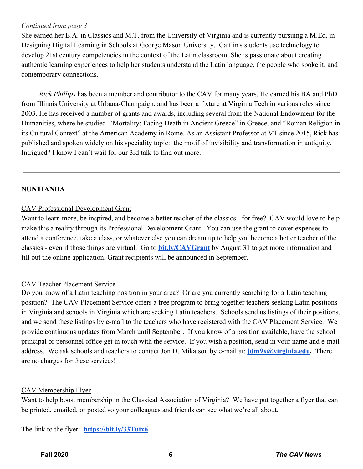#### *Continued from page 3*

She earned her B.A. in Classics and M.T. from the University of Virginia and is currently pursuing a M.Ed. in Designing Digital Learning in Schools at George Mason University. Caitlin's students use technology to develop 21st century competencies in the context of the Latin classroom. She is passionate about creating authentic learning experiences to help her students understand the Latin language, the people who spoke it, and contemporary connections.

 *Rick Phillips* has been a member and contributor to the CAV for many years. He earned his BA and PhD from Illinois University at Urbana-Champaign, and has been a fixture at Virginia Tech in various roles since 2003. He has received a number of grants and awards, including several from the National Endowment for the Humanities, where he studied "Mortality: Facing Death in Ancient Greece" in Greece, and "Roman Religion in its Cultural Context" at the American Academy in Rome. As an Assistant Professor at VT since 2015, Rick has published and spoken widely on his speciality topic: the motif of invisibility and transformation in antiquity. Intrigued? I know I can't wait for our 3rd talk to find out more.

#### **NUNTIANDA**

#### CAV Professional Development Grant

Want to learn more, be inspired, and become a better teacher of the classics - for free? CAV would love to help make this a reality through its Professional Development Grant. You can use the grant to cover expenses to attend a conference, take a class, or whatever else you can dream up to help you become a better teacher of the classics - even if those things are virtual. Go t[o](http://bit.ly/CAVGrant) **[bit.ly/CAVGrant](http://bit.ly/CAVGrant)** by August 31 to get more information and fill out the online application. Grant recipients will be announced in September.

#### CAV Teacher Placement Service

Do you know of a Latin teaching position in your area? Or are you currently searching for a Latin teaching position? The CAV Placement Service offers a free program to bring together teachers seeking Latin positions in Virginia and schools in Virginia which are seeking Latin teachers. Schools send us listings of their positions, and we send these listings by e-mail to the teachers who have registered with the CAV Placement Service. We provide continuous updates from March until September. If you know of a position available, have the school principal or personnel office get in touch with the service. If you wish a position, send in your name and e-mail address. We ask schools and teachers to contact Jon D. Mikalson by e-mail at: **[jdm9x@virginia.edu](mailto:jdm9x@virginia.edu).** There are no charges for these services!

#### CAV Membership Flyer

Want to help boost membership in the Classical Association of Virginia? We have put together a flyer that can be printed, emailed, or posted so your colleagues and friends can see what we're all about.

The link to the flyer: **<https://bit.ly/33Tuix6>**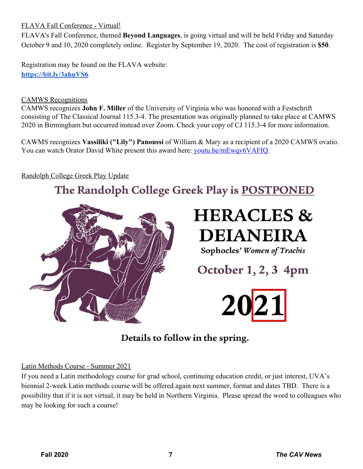#### FLAVA Fall Conference - Virtual!

FLAVA's Fall Conference, themed **Beyond Languages**, is going virtual and will be held Friday and Saturday October 9 and 10, 2020 completely online. Register by September 19, 2020. The cost of registration is **\$50**.

Registration may be found on the FLAVA website: **<https://bit.ly/3ahuVS6>**

#### CAMWS Recognitions

CAMWS recognizes **John F. Miller** of the University of Virginia who was honored with a Festschrift consisting of The Classical Journal 115.3-4. The presentation was originally planned to take place at CAMWS 2020 in Birmingham but occurred instead over Zoom. Check your copy of CJ 115.3-4 for more information.

CAWMS recognizes **Vassiliki ("Lily") Panoussi** of William & Mary as a recipient of a 2020 CAMWS ovatio. You can watch Orator David White present this award here: [youtu.be/mEwqv6VAFIQ](http://secure-web.cisco.com/1bKJ1OfijAmk3CGDNsfvsC6ndEYt2LqX0RHbQcSiU5JgJr-I9kKxeVGxzL_1Mo9xf8LOrOuFN6G5uw5uzCsAjgaBtPEApjpwYMRjAdDMQtip2ulgR0H6seIS6PSTLT7NoFtCQMpQX60YiMmYOwGI7tXLcqNumqXJvqMAHGQtF_etOm7lUYs8DWO3zhHXMWpwH57GrlSYZV80JjKZ6GStH4oJTfIRL8FYzrA5F1gR13sUqm_4YXSe_n8Le-m5xK1tX42iX8GqIS98G5SlUdIaQMOvi_EVd5n7mPHhOcXG52VGxyST6KyMxikVQ1KFKIDuJFrs96BQ2w3lQ1LccLvyKT-WlKXJua4xcgKS2nUCMlgg/http%3A%2F%2Fr20.rs6.net%2Ftn.jsp%3Ff%3D0010lGoUj3AiNvdpKw252iu44G7dTKPoPtJZXPF-pn7Rn0aM3B2y1QuUcYWanqeS36h9E8kGxkTxD1R2-kLDB4WOv_0OWWYqnrid4mGxldYKisCDTzqwsQhi7p3f_4WEopLWq9qur12931WGObdbfwB1A%3D%3D%26c%3DHZvkpYaF4309AzB5tjrkyvw9a8JhNXIYxdV4mwDoLdpUhHYmBWrl5A%3D%3D%26ch%3Dpd9pUJrLsuTfcQs7hnUxwJW0CZzgFLOsFrjLh6U4DN3KZAf8G9sT3A%3D%3D).

#### Randolph College Greek Play Update

# The Randolph College Greek Play is POSTPONED



# **HERACLES & DEIANEIRA**

Sophocles' Women of Trachis

October 1, 2, 3 4pm



## Details to follow in the spring.

#### Latin Methods Course - Summer 2021

If you need a Latin methodology course for grad school, continuing education credit, or just interest, UVA's biennial 2-week Latin methods course will be offered again next summer, format and dates TBD. There is a possibility that if it is not virtual, it may be held in Northern Virginia. Please spread the word to colleagues who may be looking for such a course!